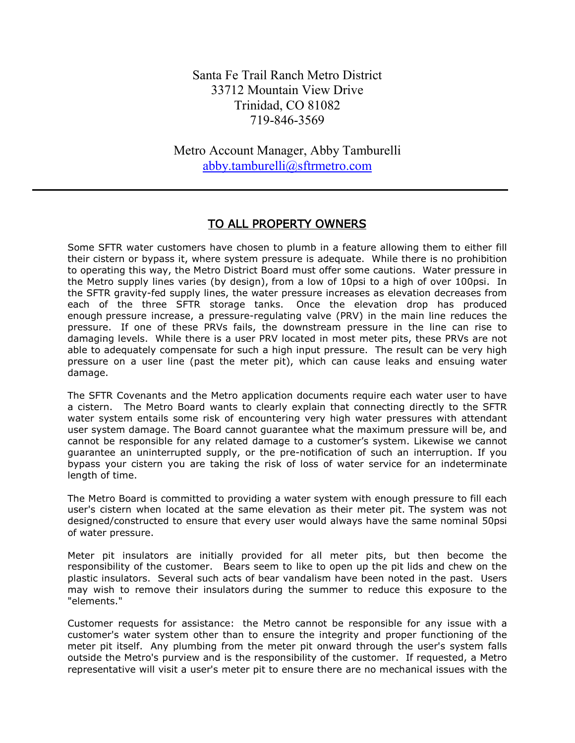Santa Fe Trail Ranch Metro District 33712 Mountain View Drive Trinidad, CO 81082 719-846-3569

Metro Account Manager, Abby Tamburelli [abby.tamburelli@sftrmetro.com](mailto:abby.tamburelli@sftrmetro.com)

## TO ALL PROPERTY OWNERS

Some SFTR water customers have chosen to plumb in a feature allowing them to either fill their cistern or bypass it, where system pressure is adequate. While there is no prohibition to operating this way, the Metro District Board must offer some cautions. Water pressure in the Metro supply lines varies (by design), from a low of 10psi to a high of over 100psi. In the SFTR gravity-fed supply lines, the water pressure increases as elevation decreases from each of the three SFTR storage tanks. Once the elevation drop has produced enough pressure increase, a pressure-regulating valve (PRV) in the main line reduces the pressure. If one of these PRVs fails, the downstream pressure in the line can rise to damaging levels. While there is a user PRV located in most meter pits, these PRVs are not able to adequately compensate for such a high input pressure. The result can be very high pressure on a user line (past the meter pit), which can cause leaks and ensuing water damage.

The SFTR Covenants and the Metro application documents require each water user to have a cistern. The Metro Board wants to clearly explain that connecting directly to the SFTR water system entails some risk of encountering very high water pressures with attendant user system damage. The Board cannot guarantee what the maximum pressure will be, and cannot be responsible for any related damage to a customer's system. Likewise we cannot guarantee an uninterrupted supply, or the pre-notification of such an interruption. If you bypass your cistern you are taking the risk of loss of water service for an indeterminate length of time.

The Metro Board is committed to providing a water system with enough pressure to fill each user's cistern when located at the same elevation as their meter pit. The system was not designed/constructed to ensure that every user would always have the same nominal 50psi of water pressure.

Meter pit insulators are initially provided for all meter pits, but then become the responsibility of the customer. Bears seem to like to open up the pit lids and chew on the plastic insulators. Several such acts of bear vandalism have been noted in the past. Users may wish to remove their insulators during the summer to reduce this exposure to the "elements."

Customer requests for assistance: the Metro cannot be responsible for any issue with a customer's water system other than to ensure the integrity and proper functioning of the meter pit itself. Any plumbing from the meter pit onward through the user's system falls outside the Metro's purview and is the responsibility of the customer. If requested, a Metro representative will visit a user's meter pit to ensure there are no mechanical issues with the